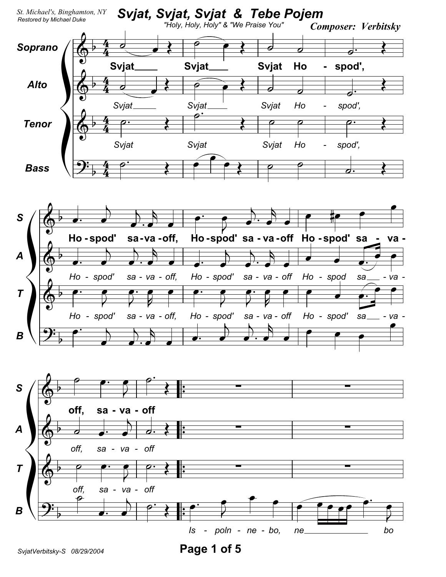

SvjatVerbitsky-S 08/29/2004

Page 1 of 5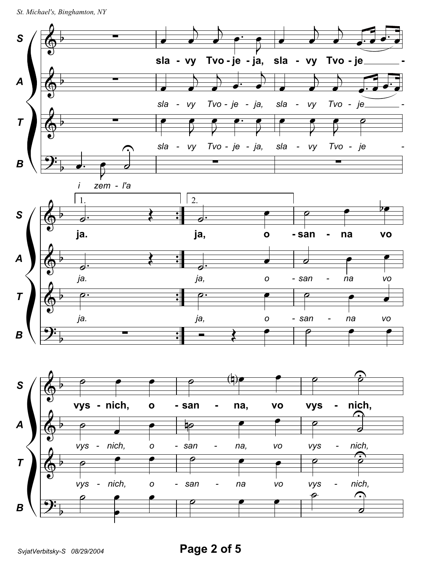```
St. Michael's, Binghamton, NY
```
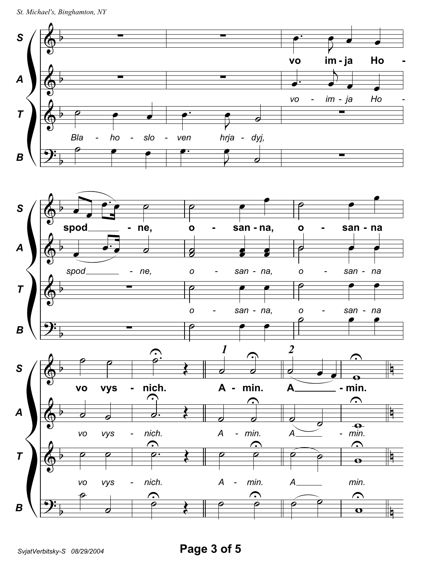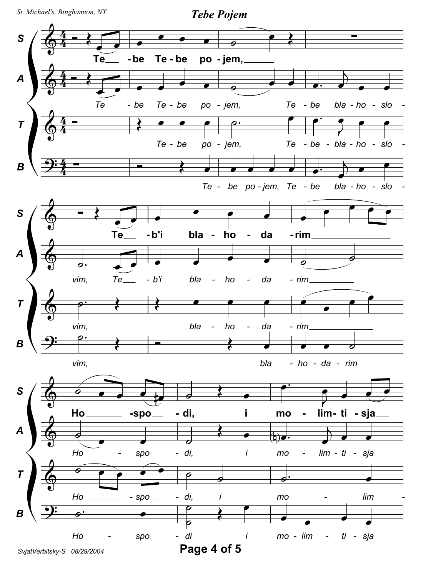